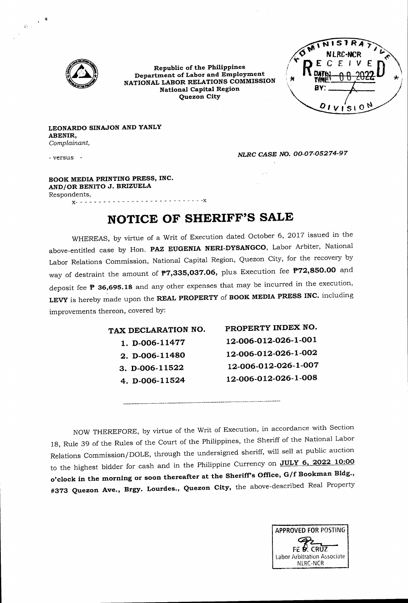

**Republic of the Philippines Department of Labor and Employment NATIONAL LABOR RELATIONS COMMISSION National Capital Region Quezon City**

 $\overline{\mathsf{s}}$ **NLRC-MCR** BY.  $01V|S10N$ 

**LEONARDO SINAJON AND YANLY ABENIR,** *Complainant,*

*-* versus

 $X - 2 = -$ 

 $\frac{1}{\tilde{\omega}_{\rm{max}}}\left( \frac{\tilde{\mathbf{a}}}{\tilde{\mathbf{a}}_{\rm{max}}} \right)$ 

*NLRC CASE NO. 00-07-05274-97*

 $\mathbf{r}$ 

**BOOK MEDIA PRINTING PRESS, INC. AND/OR BENITO J. BRIZUELA** Respondents, 

**NOTICE OF SHERIFF'S SALE**

WHEREAS, by virtue of a Writ of Execution dated October 6, 2017 issued in the above-entitled case by Hon. **PAZ EUGENIA NERI-DYSANGCO,** Labor Arbiter, National Labor Relations Commission, National Capital Region, Quezon City, for the recovery by way of destraint the amount of **P7,335,037.06,** plus Execution fee **P72,850.00** and deposit fee P **36,695.18** and any other expenses that may be incurred in the execution, LEVY is hereby made upon the **REAL PROPERTY of BOOK MEDIA PRESS INC.** including improvements thereon, covered by:

| TAX DECLARATION NO. | PROPERTY INDEX NO.   |
|---------------------|----------------------|
| 1. D-006-11477      | 12-006-012-026-1-001 |
| 2. D-006-11480      | 12-006-012-026-1-002 |
| 3. D-006-11522      | 12-006-012-026-1-007 |
| 4. D-006-11524      | 12-006-012-026-1-008 |
|                     |                      |

NOW THEREFORE, by virtue of the Writ of Execution, in accordance with Section 18, Rule 39 of the Rules of the Court of the Philippines, the Sheriff of the National Labor Relations Commission/DOLE, through the undersigned sheriff, will sell at public auction to the highest bidder for cash and in the Philippine Currency on **JULY 6, 2022 10:00 o'clock in the morning or soon thereafter at the SherlfTs Office, G/f Bookman Bldg., #373 Quezon Ave., Brgy. Lourdes., Quezon City,** the above-described Real Property